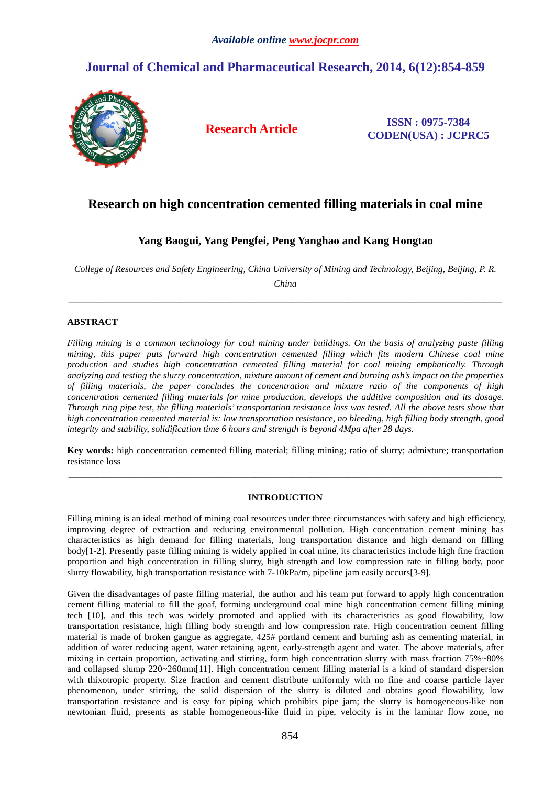# **Journal of Chemical and Pharmaceutical Research, 2014, 6(12):854-859**



**Research Article ISSN : 0975-7384 CODEN(USA) : JCPRC5**

## **Research on high concentration cemented filling materials in coal mine**

## **Yang Baogui, Yang Pengfei, Peng Yanghao and Kang Hongtao**

*College of Resources and Safety Engineering, China University of Mining and Technology, Beijing, Beijing, P. R.* 

*China*  \_\_\_\_\_\_\_\_\_\_\_\_\_\_\_\_\_\_\_\_\_\_\_\_\_\_\_\_\_\_\_\_\_\_\_\_\_\_\_\_\_\_\_\_\_\_\_\_\_\_\_\_\_\_\_\_\_\_\_\_\_\_\_\_\_\_\_\_\_\_\_\_\_\_\_\_\_\_\_\_\_\_\_\_\_\_\_\_\_\_\_\_\_

### **ABSTRACT**

*Filling mining is a common technology for coal mining under buildings. On the basis of analyzing paste filling mining, this paper puts forward high concentration cemented filling which fits modern Chinese coal mine production and studies high concentration cemented filling material for coal mining emphatically. Through analyzing and testing the slurry concentration, mixture amount of cement and burning ash's impact on the properties of filling materials, the paper concludes the concentration and mixture ratio of the components of high concentration cemented filling materials for mine production, develops the additive composition and its dosage. Through ring pipe test, the filling materials' transportation resistance loss was tested. All the above tests show that high concentration cemented material is: low transportation resistance, no bleeding, high filling body strength, good integrity and stability, solidification time 6 hours and strength is beyond 4Mpa after 28 days.* 

**Key words:** high concentration cemented filling material; filling mining; ratio of slurry; admixture; transportation resistance loss

\_\_\_\_\_\_\_\_\_\_\_\_\_\_\_\_\_\_\_\_\_\_\_\_\_\_\_\_\_\_\_\_\_\_\_\_\_\_\_\_\_\_\_\_\_\_\_\_\_\_\_\_\_\_\_\_\_\_\_\_\_\_\_\_\_\_\_\_\_\_\_\_\_\_\_\_\_\_\_\_\_\_\_\_\_\_\_\_\_\_\_\_\_

### **INTRODUCTION**

Filling mining is an ideal method of mining coal resources under three circumstances with safety and high efficiency, improving degree of extraction and reducing environmental pollution. High concentration cement mining has characteristics as high demand for filling materials, long transportation distance and high demand on filling body[1-2]. Presently paste filling mining is widely applied in coal mine, its characteristics include high fine fraction proportion and high concentration in filling slurry, high strength and low compression rate in filling body, poor slurry flowability, high transportation resistance with 7-10kPa/m, pipeline jam easily occurs[3-9].

Given the disadvantages of paste filling material, the author and his team put forward to apply high concentration cement filling material to fill the goaf, forming underground coal mine high concentration cement filling mining tech [10], and this tech was widely promoted and applied with its characteristics as good flowability, low transportation resistance, high filling body strength and low compression rate. High concentration cement filling material is made of broken gangue as aggregate, 425# portland cement and burning ash as cementing material, in addition of water reducing agent, water retaining agent, early-strength agent and water. The above materials, after mixing in certain proportion, activating and stirring, form high concentration slurry with mass fraction 75%~80% and collapsed slump 220~260mm[11]. High concentration cement filling material is a kind of standard dispersion with thixotropic property. Size fraction and cement distribute uniformly with no fine and coarse particle layer phenomenon, under stirring, the solid dispersion of the slurry is diluted and obtains good flowability, low transportation resistance and is easy for piping which prohibits pipe jam; the slurry is homogeneous-like non newtonian fluid, presents as stable homogeneous-like fluid in pipe, velocity is in the laminar flow zone, no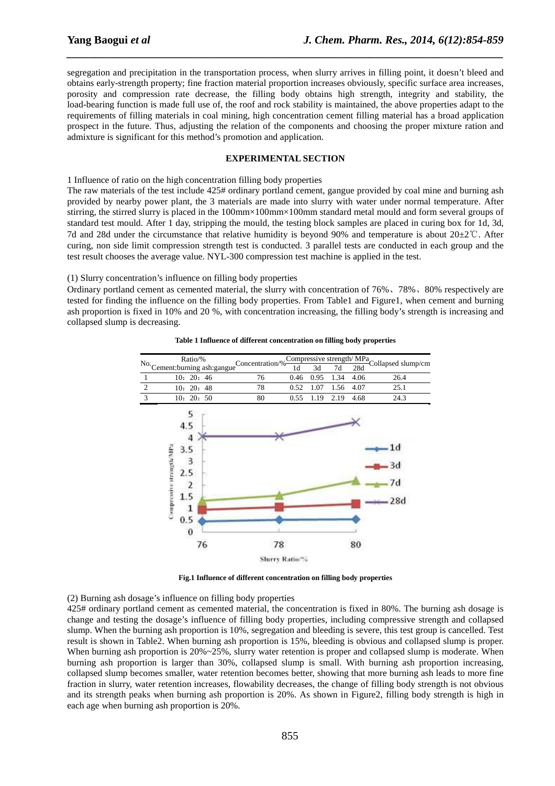segregation and precipitation in the transportation process, when slurry arrives in filling point, it doesn't bleed and obtains early-strength property; fine fraction material proportion increases obviously, specific surface area increases, porosity and compression rate decrease, the filling body obtains high strength, integrity and stability, the load-bearing function is made full use of, the roof and rock stability is maintained, the above properties adapt to the requirements of filling materials in coal mining, high concentration cement filling material has a broad application prospect in the future. Thus, adjusting the relation of the components and choosing the proper mixture ration and admixture is significant for this method's promotion and application.

*\_\_\_\_\_\_\_\_\_\_\_\_\_\_\_\_\_\_\_\_\_\_\_\_\_\_\_\_\_\_\_\_\_\_\_\_\_\_\_\_\_\_\_\_\_\_\_\_\_\_\_\_\_\_\_\_\_\_\_\_\_\_\_\_\_\_\_\_\_\_\_\_\_\_\_\_\_\_*

#### **EXPERIMENTAL SECTION**

1 Influence of ratio on the high concentration filling body properties

The raw materials of the test include 425# ordinary portland cement, gangue provided by coal mine and burning ash provided by nearby power plant, the 3 materials are made into slurry with water under normal temperature. After stirring, the stirred slurry is placed in the 100mm×100mm×100mm standard metal mould and form several groups of standard test mould. After 1 day, stripping the mould, the testing block samples are placed in curing box for 1d, 3d, 7d and 28d under the circumstance that relative humidity is beyond 90% and temperature is about 20±2℃. After curing, non side limit compression strength test is conducted. 3 parallel tests are conducted in each group and the test result chooses the average value. NYL-300 compression test machine is applied in the test.

(1) Slurry concentration's influence on filling body properties

Ordinary portland cement as cemented material, the slurry with concentration of 76%、78%、80% respectively are tested for finding the influence on the filling body properties. From Table1 and Figure1, when cement and burning ash proportion is fixed in 10% and 20 %, with concentration increasing, the filling body's strength is increasing and collapsed slump is decreasing.



#### **Table 1 Influence of different concentration on filling body properties**

**Fig.1 Influence of different concentration on filling body properties** 

(2) Burning ash dosage's influence on filling body properties

425# ordinary portland cement as cemented material, the concentration is fixed in 80%. The burning ash dosage is change and testing the dosage's influence of filling body properties, including compressive strength and collapsed slump. When the burning ash proportion is 10%, segregation and bleeding is severe, this test group is cancelled. Test result is shown in Table2. When burning ash proportion is 15%, bleeding is obvious and collapsed slump is proper. When burning ash proportion is  $20\% \sim 25\%$ , slurry water retention is proper and collapsed slump is moderate. When burning ash proportion is larger than 30%, collapsed slump is small. With burning ash proportion increasing, collapsed slump becomes smaller, water retention becomes better, showing that more burning ash leads to more fine fraction in slurry, water retention increases, flowability decreases, the change of filling body strength is not obvious and its strength peaks when burning ash proportion is 20%. As shown in Figure2, filling body strength is high in each age when burning ash proportion is 20%.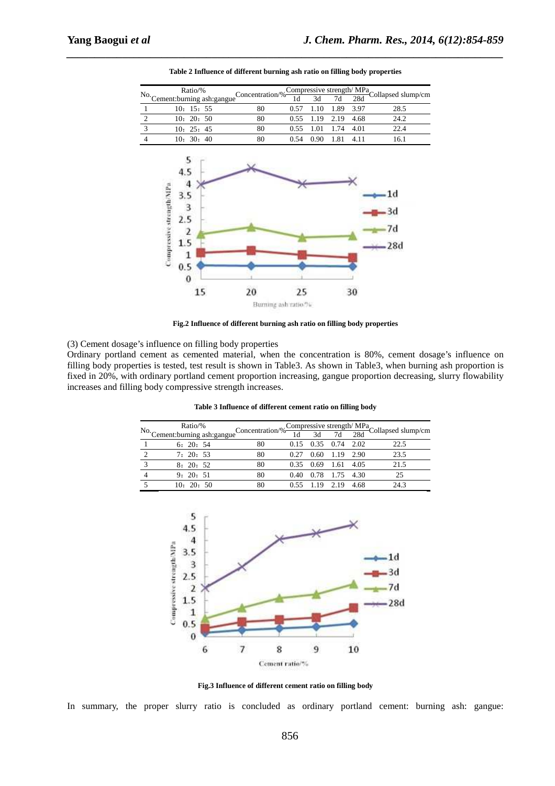

*\_\_\_\_\_\_\_\_\_\_\_\_\_\_\_\_\_\_\_\_\_\_\_\_\_\_\_\_\_\_\_\_\_\_\_\_\_\_\_\_\_\_\_\_\_\_\_\_\_\_\_\_\_\_\_\_\_\_\_\_\_\_\_\_\_\_\_\_\_\_\_\_\_\_\_\_\_\_* **Table 2 Influence of different burning ash ratio on filling body properties** 

**Fig.2 Influence of different burning ash ratio on filling body properties** 

(3) Cement dosage's influence on filling body properties

Ordinary portland cement as cemented material, when the concentration is 80%, cement dosage's influence on filling body properties is tested, test result is shown in Table3. As shown in Table3, when burning ash proportion is fixed in 20%, with ordinary portland cement proportion increasing, gangue proportion decreasing, slurry flowability increases and filling body compressive strength increases.

| Table 3 Influence of different cement ratio on filling body |
|-------------------------------------------------------------|
|-------------------------------------------------------------|

| Ratio/%                         |    |      |                             |                  |      | eConcentration/% $\frac{\text{Compressive strength}/\text{MPa}}{1d}$ Collapsed slump/cm |
|---------------------------------|----|------|-----------------------------|------------------|------|-----------------------------------------------------------------------------------------|
| No. Cement: burning ash: gangue |    |      |                             |                  |      |                                                                                         |
| 6: 20: 54                       | 80 |      | $0.15$ $0.35$ $0.74$ $2.02$ |                  |      | 22.5                                                                                    |
| 7:20:53                         | 80 | 0.27 |                             | $0.60$ 1.19 2.90 |      | 23.5                                                                                    |
| 8:20:52                         | 80 |      | $0.35$ $0.69$ 1.61 4.05     |                  |      | 21.5                                                                                    |
| 9:20:51                         | 80 | 0.40 |                             | 0.78 1.75        | 4.30 | 25                                                                                      |
| 10:20:50                        |    | 0.55 | 1.19                        | 2.19             | 4.68 | 24.3                                                                                    |



**Fig.3 Influence of different cement ratio on filling body** 

In summary, the proper slurry ratio is concluded as ordinary portland cement: burning ash: gangue: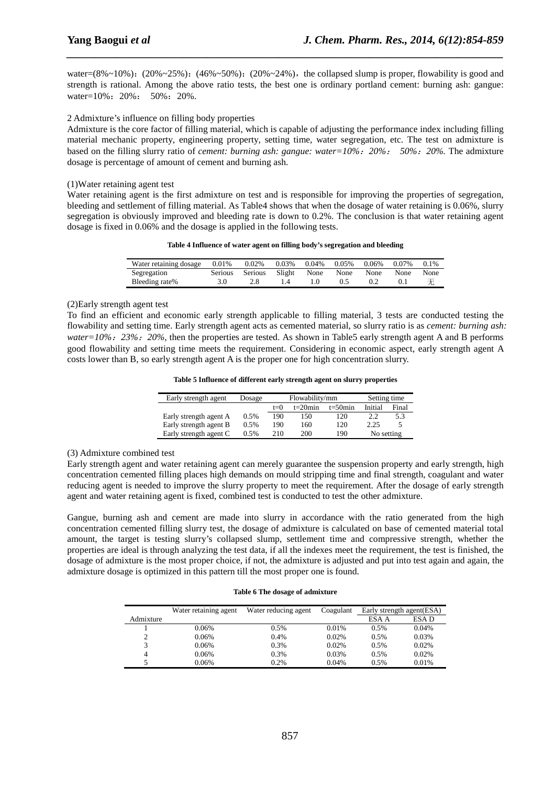water=(8%~10%): (20%~25%): (46%~50%): (20%~24%), the collapsed slump is proper, flowability is good and strength is rational. Among the above ratio tests, the best one is ordinary portland cement: burning ash: gangue: water=10%: 20%: 50%: 20%.

*\_\_\_\_\_\_\_\_\_\_\_\_\_\_\_\_\_\_\_\_\_\_\_\_\_\_\_\_\_\_\_\_\_\_\_\_\_\_\_\_\_\_\_\_\_\_\_\_\_\_\_\_\_\_\_\_\_\_\_\_\_\_\_\_\_\_\_\_\_\_\_\_\_\_\_\_\_\_*

#### 2 Admixture's influence on filling body properties

Admixture is the core factor of filling material, which is capable of adjusting the performance index including filling material mechanic property, engineering property, setting time, water segregation, etc. The test on admixture is based on the filling slurry ratio of *cement: burning ash: gangue: water=10%*:*20%*: *50%*:*20%.* The admixture dosage is percentage of amount of cement and burning ash.

#### (1)Water retaining agent test

Water retaining agent is the first admixture on test and is responsible for improving the properties of segregation, bleeding and settlement of filling material. As Table4 shows that when the dosage of water retaining is 0.06%, slurry segregation is obviously improved and bleeding rate is down to 0.2%. The conclusion is that water retaining agent dosage is fixed in 0.06% and the dosage is applied in the following tests.

**Table 4 Influence of water agent on filling body's segregation and bleeding** 

| Water retaining dosage | 0.01%   | 0.02%          | 0.03%  | 0.04% | 0.05% | 0.06% | 0.07% | 0.1% |
|------------------------|---------|----------------|--------|-------|-------|-------|-------|------|
| Segregation            | Serious | <b>Serious</b> | Slight | None  | None  | None  | None  | None |
| Bleeding rate%         |         |                |        |       |       |       |       | 无    |

### (2)Early strength agent test

To find an efficient and economic early strength applicable to filling material, 3 tests are conducted testing the flowability and setting time. Early strength agent acts as cemented material, so slurry ratio is as *cement: burning ash: water=10%*:*23%*:*20%,* then the properties are tested. As shown in Table5 early strength agent A and B performs good flowability and setting time meets the requirement. Considering in economic aspect, early strength agent A costs lower than B, so early strength agent A is the proper one for high concentration slurry.

| Table 5 Influence of different early strength agent on slurry properties |  |  |  |  |
|--------------------------------------------------------------------------|--|--|--|--|
|--------------------------------------------------------------------------|--|--|--|--|

| Early strength agent   | Dosage | Flowability/mm |            |            | Setting time |       |  |
|------------------------|--------|----------------|------------|------------|--------------|-------|--|
|                        |        | $t=0$          | $t=20$ min | $t=50$ min | Initial      | Final |  |
| Early strength agent A | 0.5%   | 190            | 150        | 120        | 2.2          | 5.3   |  |
| Early strength agent B | 0.5%   | 190            | 160        | 120        | 2.25         |       |  |
| Early strength agent C | 0.5%   | 210            | 200        | 190        | No setting   |       |  |

#### (3) Admixture combined test

Early strength agent and water retaining agent can merely guarantee the suspension property and early strength, high concentration cemented filling places high demands on mould stripping time and final strength, coagulant and water reducing agent is needed to improve the slurry property to meet the requirement. After the dosage of early strength agent and water retaining agent is fixed, combined test is conducted to test the other admixture.

Gangue, burning ash and cement are made into slurry in accordance with the ratio generated from the high concentration cemented filling slurry test, the dosage of admixture is calculated on base of cemented material total amount, the target is testing slurry's collapsed slump, settlement time and compressive strength, whether the properties are ideal is through analyzing the test data, if all the indexes meet the requirement, the test is finished, the dosage of admixture is the most proper choice, if not, the admixture is adjusted and put into test again and again, the admixture dosage is optimized in this pattern till the most proper one is found.

#### **Table 6 The dosage of admixture**

|           | Water retaining agent | Water reducing agent | Coagulant | Early strength agent (ESA) |       |
|-----------|-----------------------|----------------------|-----------|----------------------------|-------|
| Admixture |                       |                      |           | ESA A                      | ESA D |
|           | 0.06%                 | 0.5%                 | 0.01%     | 0.5%                       | 0.04% |
| ∍         | 0.06%                 | 0.4%                 | 0.02%     | 0.5%                       | 0.03% |
|           | 0.06%                 | 0.3%                 | 0.02%     | 0.5%                       | 0.02% |
|           | 0.06%                 | 0.3%                 | 0.03%     | 0.5%                       | 0.02% |
|           | 0.06%                 | 0.2%                 | 0.04%     | 0.5%                       | 0.01% |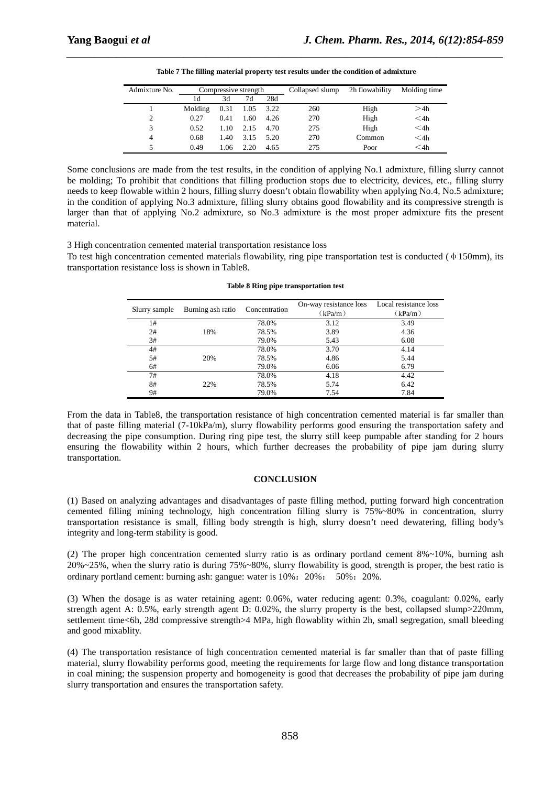| Admixture No.  | Compressive strength |      | Collapsed slump | 2h flowability | Molding time |        |        |
|----------------|----------------------|------|-----------------|----------------|--------------|--------|--------|
|                | 1d                   | 3d   | 7d              | 28d            |              |        |        |
|                | Molding              | 0.31 | 1.05            | 3.22           | 260          | High   | >4h    |
| $\overline{c}$ | 0.27                 | 0.41 | 1.60            | 4.26           | 270          | High   | $<$ 4h |
| 3              | 0.52                 | 1.10 | 2.15            | 4.70           | 275          | High   | $<$ 4h |
| 4              | 0.68                 | 1.40 | 3.15            | 5.20           | 270          | Common | $<$ 4h |
|                | 0.49                 | 1.06 | 2.20            | 4.65           | 275          | Poor   | $<$ 4h |

*\_\_\_\_\_\_\_\_\_\_\_\_\_\_\_\_\_\_\_\_\_\_\_\_\_\_\_\_\_\_\_\_\_\_\_\_\_\_\_\_\_\_\_\_\_\_\_\_\_\_\_\_\_\_\_\_\_\_\_\_\_\_\_\_\_\_\_\_\_\_\_\_\_\_\_\_\_\_* **Table 7 The filling material property test results under the condition of admixture** 

Some conclusions are made from the test results, in the condition of applying No.1 admixture, filling slurry cannot be molding; To prohibit that conditions that filling production stops due to electricity, devices, etc., filling slurry needs to keep flowable within 2 hours, filling slurry doesn't obtain flowability when applying No.4, No.5 admixture; in the condition of applying No.3 admixture, filling slurry obtains good flowability and its compressive strength is larger than that of applying No.2 admixture, so No.3 admixture is the most proper admixture fits the present material.

3 High concentration cemented material transportation resistance loss

To test high concentration cemented materials flowability, ring pipe transportation test is conducted ( $\phi$  150mm), its transportation resistance loss is shown in Table8.

| Slurry sample | Burning ash ratio | Concentration | On-way resistance loss<br>(kPa/m) | Local resistance loss<br>(kPa/m) |
|---------------|-------------------|---------------|-----------------------------------|----------------------------------|
| 1#            |                   | 78.0%         | 3.12                              | 3.49                             |
| 2#            | 18%               | 78.5%         | 3.89                              | 4.36                             |
| 3#            |                   | 79.0%         | 5.43                              | 6.08                             |
| 4#            |                   | 78.0%         | 3.70                              | 4.14                             |
| 5#            | 20%               | 78.5%         | 4.86                              | 5.44                             |
| 6#            |                   | 79.0%         | 6.06                              | 6.79                             |
| 7#            |                   | 78.0%         | 4.18                              | 4.42                             |
| 8#            | 22%               | 78.5%         | 5.74                              | 6.42                             |
| 9#            |                   | 79.0%         | 7.54                              | 7.84                             |

|  |  |  | Table 8 Ring pipe transportation test |  |
|--|--|--|---------------------------------------|--|
|--|--|--|---------------------------------------|--|

From the data in Table8, the transportation resistance of high concentration cemented material is far smaller than that of paste filling material (7-10kPa/m), slurry flowability performs good ensuring the transportation safety and decreasing the pipe consumption. During ring pipe test, the slurry still keep pumpable after standing for 2 hours ensuring the flowability within 2 hours, which further decreases the probability of pipe jam during slurry transportation.

#### **CONCLUSION**

(1) Based on analyzing advantages and disadvantages of paste filling method, putting forward high concentration cemented filling mining technology, high concentration filling slurry is 75%~80% in concentration, slurry transportation resistance is small, filling body strength is high, slurry doesn't need dewatering, filling body's integrity and long-term stability is good.

(2) The proper high concentration cemented slurry ratio is as ordinary portland cement 8%~10%, burning ash 20%~25%, when the slurry ratio is during 75%~80%, slurry flowability is good, strength is proper, the best ratio is ordinary portland cement: burning ash: gangue: water is 10%:20%: 50%:20%.

(3) When the dosage is as water retaining agent: 0.06%, water reducing agent: 0.3%, coagulant: 0.02%, early strength agent A: 0.5%, early strength agent D: 0.02%, the slurry property is the best, collapsed slump>220mm, settlement time<6h, 28d compressive strength>4 MPa, high flowablity within 2h, small segregation, small bleeding and good mixablity.

(4) The transportation resistance of high concentration cemented material is far smaller than that of paste filling material, slurry flowability performs good, meeting the requirements for large flow and long distance transportation in coal mining; the suspension property and homogeneity is good that decreases the probability of pipe jam during slurry transportation and ensures the transportation safety.